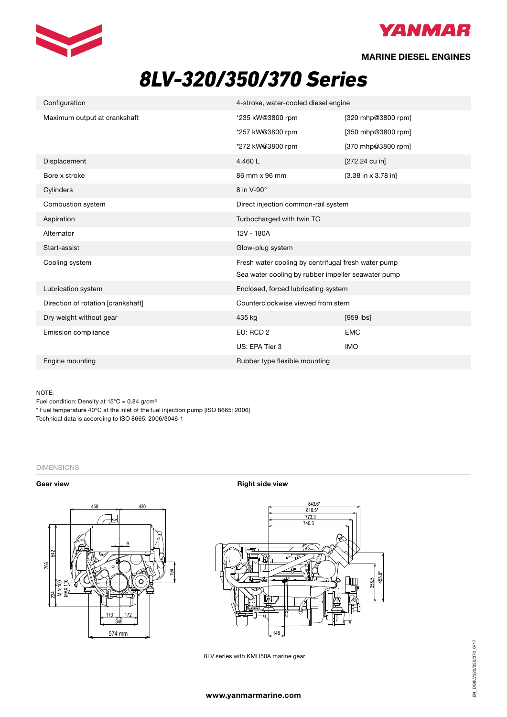



**MARINE DIESEL ENGINES**

# *8LV-320/350/370 Series*

| Configuration                      | 4-stroke, water-cooled diesel engine                |                                        |
|------------------------------------|-----------------------------------------------------|----------------------------------------|
| Maximum output at crankshaft       | *235 kW@3800 rpm                                    | [320 mhp@3800 rpm]                     |
|                                    | *257 kW@3800 rpm                                    | [350 mhp@3800 rpm]                     |
|                                    | *272 kW@3800 rpm                                    | [370 mhp@3800 rpm]                     |
| Displacement                       | 4.460L                                              | [272.24 cu in]                         |
| Bore x stroke                      | 86 mm x 96 mm                                       | $[3.38 \text{ in } x 3.78 \text{ in}]$ |
| Cylinders                          | 8 in V-90°                                          |                                        |
| Combustion system                  | Direct injection common-rail system                 |                                        |
| Aspiration                         | Turbocharged with twin TC                           |                                        |
| Alternator                         | 12V - 180A                                          |                                        |
| Start-assist                       | Glow-plug system                                    |                                        |
| Cooling system                     | Fresh water cooling by centrifugal fresh water pump |                                        |
|                                    | Sea water cooling by rubber impeller seawater pump  |                                        |
| Lubrication system                 | Enclosed, forced lubricating system                 |                                        |
| Direction of rotation [crankshaft] | Counterclockwise viewed from stern                  |                                        |
| Dry weight without gear            | 435 kg                                              | $[959$ $ bs]$                          |
| Emission compliance                | EU: RCD 2                                           | <b>EMC</b>                             |
|                                    | US: EPA Tier 3                                      | <b>IMO</b>                             |
| Engine mounting                    | Rubber type flexible mounting                       |                                        |

NOTE:

Fuel condition: Density at  $15^{\circ}$ C = 0.84 g/cm<sup>3</sup>

\* Fuel temperature 40°C at the inlet of the fuel injection pump [ISO 8665: 2006]

Technical data is according to ISO 8665: 2006/3046-1

## DIMENSIONS



**Gear view Gear view <b>Right** side view **Right** side view



8LV series with KMH50A marine gear